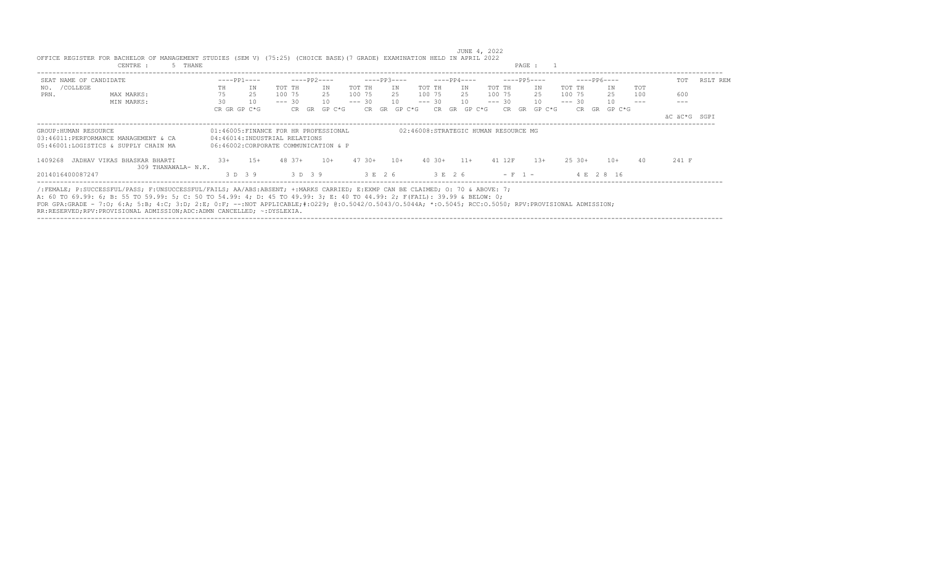|                        | ULNIRL I<br>J INAND                                                                                                                                                                                                                                                                                                                                                                                                                                                                          |                                                                                                               |       |            |             |        |          |         |              |          |        |             |                                      |          | raga :      |                      |          |          |              |            |              |          |
|------------------------|----------------------------------------------------------------------------------------------------------------------------------------------------------------------------------------------------------------------------------------------------------------------------------------------------------------------------------------------------------------------------------------------------------------------------------------------------------------------------------------------|---------------------------------------------------------------------------------------------------------------|-------|------------|-------------|--------|----------|---------|--------------|----------|--------|-------------|--------------------------------------|----------|-------------|----------------------|----------|----------|--------------|------------|--------------|----------|
| SEAT NAME OF CANDIDATE |                                                                                                                                                                                                                                                                                                                                                                                                                                                                                              | $---PP1---$                                                                                                   |       |            | ----PP2---- |        |          |         | $---PP3---$  |          |        | ----PP4---- |                                      |          | $---PP5---$ |                      |          |          | $---PP6---$  |            | TOT          | RSLT REM |
| /COLLEGE<br>NO.        |                                                                                                                                                                                                                                                                                                                                                                                                                                                                                              | TH                                                                                                            | IN    | TOT TH     |             | IN     | TOT TH   |         | TN           | TOT TH   |        | IN          |                                      | TOT TH   |             | TN                   | TOT TH   |          | IN           | <b>TOT</b> |              |          |
| PRN.                   | MAX MARKS:                                                                                                                                                                                                                                                                                                                                                                                                                                                                                   |                                                                                                               | 25    | 100 75     |             | 25     | 100 75   |         | 25           | 100 75   |        | 25          |                                      | 100 75   |             | 25                   | 100 75   |          | 25           | 100        | 600          |          |
|                        | MIN MARKS:                                                                                                                                                                                                                                                                                                                                                                                                                                                                                   | 30                                                                                                            | 10    | $--- 30$   |             | 10     | $--- 30$ |         | 10           | $--- 30$ |        | 10          |                                      | $--- 30$ |             | 10                   | $--- 30$ |          | 10           |            |              |          |
|                        |                                                                                                                                                                                                                                                                                                                                                                                                                                                                                              | CR GR GP C*G                                                                                                  |       |            | CR GR       | GP C*G |          |         | CR GR GP C*G |          | CR.    |             | GR GP C*G                            |          |             | $CR$ $GR$ $GP$ $C*G$ |          |          | CR GR GP C*G |            | äC äC*G SGPI |          |
| GROUP: HUMAN RESOURCE  | 03:46011:PERFORMANCE MANAGEMENT & CA<br>05:46001:LOGISTICS & SUPPLY CHAIN MA                                                                                                                                                                                                                                                                                                                                                                                                                 | 01:46005:FINANCE FOR HR PROFESSIONAL<br>04:46014:INDUSTRIAL RELATIONS<br>06:46002:CORPORATE COMMUNICATION & P |       |            |             |        |          |         |              |          |        |             | 02:46008:STRATEGIC HUMAN RESOURCE MG |          |             |                      |          |          |              |            |              |          |
| 1409268                | JADHAV VIKAS BHASKAR BHARTI<br>309 THANAWALA- N.K.                                                                                                                                                                                                                                                                                                                                                                                                                                           | $3.3+$                                                                                                        | $15+$ | $48 \t37+$ |             | $10+$  | 47 30+   |         | $10+$        |          | 40 30+ | $11 +$      |                                      | 41 12F   |             | $1.3+$               |          | $25.30+$ | $10+$        | 40         | 241 F        |          |
| 2014016400087247       |                                                                                                                                                                                                                                                                                                                                                                                                                                                                                              |                                                                                                               | 3D39  |            | 3 D 3 9     |        |          | 3 E 2 6 |              |          |        | 3 E 2 6     |                                      |          | $- F 1 -$   |                      |          |          | 4 F. 2 8 16  |            |              |          |
|                        | /:FEMALE; P:SUCCESSFUL/PASS; F:UNSUCCESSFUL/FAILS; AA/ABS:ABSENT; +:MARKS CARRIED; E:EXMP CAN BE CLAIMED; 0: 70 & ABOVE: 7;<br>A: 60 TO 69.99: 6; B: 55 TO 59.99: 5; C: 50 TO 54.99: 4; D: 45 TO 49.99: 3; E: 40 TO 44.99: 2; F(FAIL): 39.99 & BELOW: 0;<br>FOR GPA:GRADE - 7:0; 6:A; 5:B; 4:C; 3:D; 2:E; 0:F; --:NOT APPLICABLE;#:0229; 0:0.5042/0.5043/0.5044A; *:0.5045; RCC:0.5050; RPV:PROVISIONAL ADMISSION;<br>RR:RESERVED;RPV:PROVISIONAL ADMISSION;ADC:ADMN CANCELLED; ~: DYSLEXIA. |                                                                                                               |       |            |             |        |          |         |              |          |        |             |                                      |          |             |                      |          |          |              |            |              |          |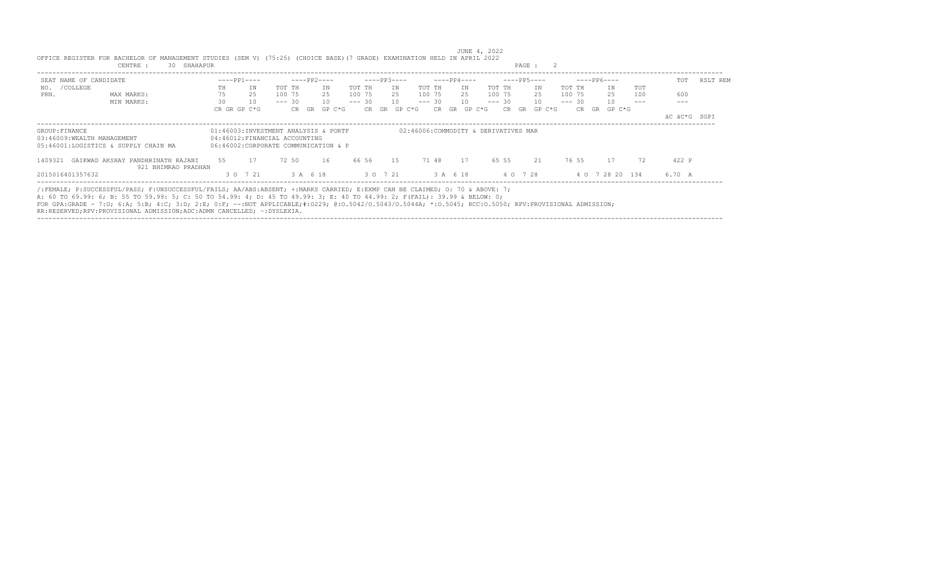|                                              | CENIKE I<br>JU SAAAAFUR                                                                                                                                                                                                                                                                                                                                                                                                                                                                              |    |                                                                                                                |          |       |             |          |             |        |          |              |                                      | raga a      |        |          |           |                 |       |              |          |
|----------------------------------------------|------------------------------------------------------------------------------------------------------------------------------------------------------------------------------------------------------------------------------------------------------------------------------------------------------------------------------------------------------------------------------------------------------------------------------------------------------------------------------------------------------|----|----------------------------------------------------------------------------------------------------------------|----------|-------|-------------|----------|-------------|--------|----------|--------------|--------------------------------------|-------------|--------|----------|-----------|-----------------|-------|--------------|----------|
| SEAT NAME OF CANDIDATE                       |                                                                                                                                                                                                                                                                                                                                                                                                                                                                                                      |    | $---PP1---$                                                                                                    |          |       | ----PP2---- |          | $---PP3---$ |        |          | ----PP4----  |                                      | ----PP5---- |        |          |           | -----PP6----    |       | TOT          | RSLT REM |
| NO. / COLLEGE                                |                                                                                                                                                                                                                                                                                                                                                                                                                                                                                                      | TH | TN                                                                                                             | TOT TH   |       | TN          | TOT TH   |             | TN     | TOT TH   | TN           | TOT TH                               |             | TN     | TOT TH   |           | TN              | TOT   |              |          |
| PRN.                                         | MAX MARKS:                                                                                                                                                                                                                                                                                                                                                                                                                                                                                           | 75 | 25                                                                                                             | 100 75   |       | 25          | 100 75   |             | 25     | 100 75   | 25           | 100 75                               |             | 25     | 100 75   |           | 25              | 100   | 600          |          |
|                                              | MIN MARKS:                                                                                                                                                                                                                                                                                                                                                                                                                                                                                           | 30 | 10                                                                                                             | $--- 30$ |       | 10          | $--- 30$ |             | 10     | $--- 30$ | 10           | $--- 30$                             |             | 1 O    | $--- 30$ |           | 10              | $---$ |              |          |
|                                              |                                                                                                                                                                                                                                                                                                                                                                                                                                                                                                      |    | CR GR GP C*G                                                                                                   |          | CR GR | GP C*G      |          | CR GR       | GP C*G | CR.      | GR<br>GP C*G | CR.                                  | GR          | GP C*G |          | CR.<br>GR | GP C*G          |       |              |          |
|                                              |                                                                                                                                                                                                                                                                                                                                                                                                                                                                                                      |    |                                                                                                                |          |       |             |          |             |        |          |              |                                      |             |        |          |           |                 |       | äC äC*G SGPI |          |
| GROUP: FINANCE<br>03:46009:WEALTH MANAGEMENT | 05:46001:LOGISTICS & SUPPLY CHAIN MA                                                                                                                                                                                                                                                                                                                                                                                                                                                                 |    | 01:46003:INVESTMENT ANALYSIS & PORTF<br>04:46012: FINANCIAL ACCOUNTING<br>06:46002:CORPORATE COMMUNICATION & P |          |       |             |          |             |        |          |              | 02:46006:COMMODITY & DERIVATIVES MAR |             |        |          |           |                 |       |              |          |
| 1409321                                      | GAIKWAD AKSHAY PANDHRINATH RAJANI<br>921 BHIMRAO PRADHAN                                                                                                                                                                                                                                                                                                                                                                                                                                             | 55 | 17                                                                                                             | 72 50    |       | 16          | 66 56    |             | 15     | 71 48    | 17           | 65 55                                |             | 21     | 76 55    |           | 17              | 72    | 422 P        |          |
| 2015016401357632                             |                                                                                                                                                                                                                                                                                                                                                                                                                                                                                                      |    | 3 0 7 21                                                                                                       |          |       | 3 A 6 18    |          | 3 0 7 21    |        |          | 3 A 6 18     |                                      | 4 0 7 2 8   |        |          |           | 4 0 7 28 20 134 |       | 6.70 A       |          |
|                                              | /:FEMALE; P:SUCCESSFUL/PASS; F:UNSUCCESSFUL/FAILS; AA/ABS:ABSENT; +:MARKS CARRIED; E:EXMP CAN BE CLAIMED; 0: 70 & ABOVE: 7;<br>A: 60 TO 69.99: 6; B: 55 TO 59.99: 5; C: 50 TO 54.99: 4; D: 45 TO 49.99: 3; E: 40 TO 44.99: 2; F(FAIL): 39.99 & BELOW: 0;<br>FOR GPA:GRADE - 7:0; 6:A; 5:B; 4:C; 3:D; 2:E; 0:F; --:NOT APPLICABLE;#:0229; 0:0.5042/0.5043/0.5044A; *:0.5045; RCC:0.5050; RPV:PROVISIONAL ADMISSION;<br>גדעס זישטר הסידיסטוגרט ווערה מהג נוסדיסטדונה בגוורמדיסטונים נותח הסטוסטיסם. הח |    |                                                                                                                |          |       |             |          |             |        |          |              |                                      |             |        |          |           |                 |       |              |          |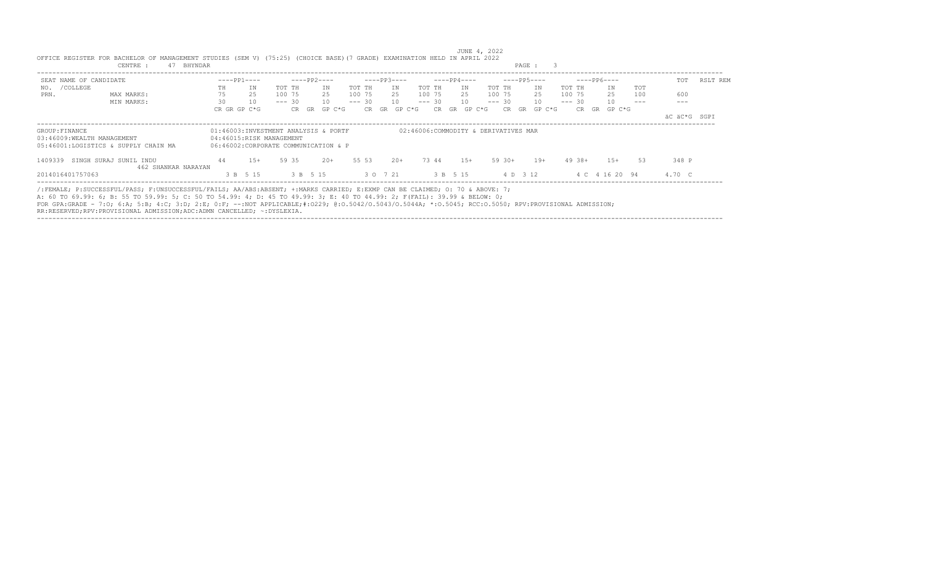|                                              | CENIKE I<br>47 DILINDAR                                                                                                                                                                                                                                                                                                                                                                                            |                                                                                                          |             |          |          |             |          |             |        |          |          |             |                                      | raga a       |          |                |        |     |              |          |
|----------------------------------------------|--------------------------------------------------------------------------------------------------------------------------------------------------------------------------------------------------------------------------------------------------------------------------------------------------------------------------------------------------------------------------------------------------------------------|----------------------------------------------------------------------------------------------------------|-------------|----------|----------|-------------|----------|-------------|--------|----------|----------|-------------|--------------------------------------|--------------|----------|----------------|--------|-----|--------------|----------|
| SEAT NAME OF CANDIDATE                       |                                                                                                                                                                                                                                                                                                                                                                                                                    |                                                                                                          | $---PP1---$ |          |          | $---PP2---$ |          | $---PP3---$ |        |          |          | $---PP4---$ |                                      | $---PP5---$  |          | $---PP6---$    |        |     | TOT          | RSLT REM |
| NO. / COLLEGE                                |                                                                                                                                                                                                                                                                                                                                                                                                                    | TH                                                                                                       | TN          | TOT TH   |          | TN          | TOT TH   |             | TN     | TOT TH   |          | TN          | TOT TH                               | TN           | TOT TH   |                | TN     | TOT |              |          |
| PRN.                                         | MAX MARKS:                                                                                                                                                                                                                                                                                                                                                                                                         | 75                                                                                                       | 25          | 100 75   |          | 2.5         | 100 75   |             | 25     | 100 75   |          | 2.5         | 100 75                               | 25           | 100 75   |                | 25     | 100 | 600          |          |
|                                              | MIN MARKS:                                                                                                                                                                                                                                                                                                                                                                                                         | 30                                                                                                       | 10          | $--- 30$ |          | 10          | $--- 30$ |             | 10     | $--- 30$ |          | 10          | $--- 30$                             | 1 O          | $--- 30$ |                | 1 O    |     |              |          |
|                                              |                                                                                                                                                                                                                                                                                                                                                                                                                    | CR GR GP C*G                                                                                             |             |          | CR GR    | GP C*G      |          | CR GR       | GP C*G | CR.      | GR       | GP C*G      | CR.                                  | GP C*G<br>GR | CR.      | GR             | GP C*G |     |              |          |
|                                              |                                                                                                                                                                                                                                                                                                                                                                                                                    |                                                                                                          |             |          |          |             |          |             |        |          |          |             |                                      |              |          |                |        |     | äC äC*G SGPI |          |
| GROUP: FINANCE<br>03:46009:WEALTH MANAGEMENT | 05:46001:LOGISTICS & SUPPLY CHAIN MA                                                                                                                                                                                                                                                                                                                                                                               | 01:46003:INVESTMENT ANALYSIS & PORTF<br>04:46015:RISK MANAGEMENT<br>06:46002:CORPORATE COMMUNICATION & P |             |          |          |             |          |             |        |          |          |             | 02:46006:COMMODITY & DERIVATIVES MAR |              |          |                |        |     |              |          |
| 1409339 SINGH SURAJ SUNIL INDU               |                                                                                                                                                                                                                                                                                                                                                                                                                    | 44                                                                                                       | $1.5+$      | 59 35    |          | $20+$       | 55 53    |             | $20+$  | 73 44    |          | $1.5+$      | $59.30+$                             | $19+$        | $49.38+$ |                | $1.5+$ | 53  | 348 P        |          |
|                                              | 462 SHANKAR NARAYAN                                                                                                                                                                                                                                                                                                                                                                                                |                                                                                                          |             |          |          |             |          |             |        |          |          |             |                                      |              |          |                |        |     |              |          |
| 2014016401757063                             |                                                                                                                                                                                                                                                                                                                                                                                                                    |                                                                                                          | 3 B 5 15    |          |          |             |          |             |        |          |          |             |                                      |              |          |                |        |     | 4.70 C       |          |
|                                              | /:FEMALE; P:SUCCESSFUL/PASS; F:UNSUCCESSFUL/FAILS; AA/ABS:ABSENT; +:MARKS CARRIED; E:EXMP CAN BE CLAIMED; 0: 70 & ABOVE: 7;<br>A: 60 TO 69.99: 6; B: 55 TO 59.99: 5; C: 50 TO 54.99: 4; D: 45 TO 49.99: 3; E: 40 TO 44.99: 2; F(FAIL): 39.99 & BELOW: 0;<br>FOR GPA:GRADE - 7:0; 6:A; 5:B; 4:C; 3:D; 2:E; 0:F; --:NOT APPLICABLE;#:0229; 0:0.5042/0.5043/0.5044A; *:0.5045; RCC:0.5050; RPV:PROVISIONAL ADMISSION; |                                                                                                          |             |          | 3 B 5 15 |             |          | 3 0 7 2 1   |        |          | 3 B 5 15 |             |                                      | 4 D 3 12     |          | 4 C 4 16 20 94 |        |     |              |          |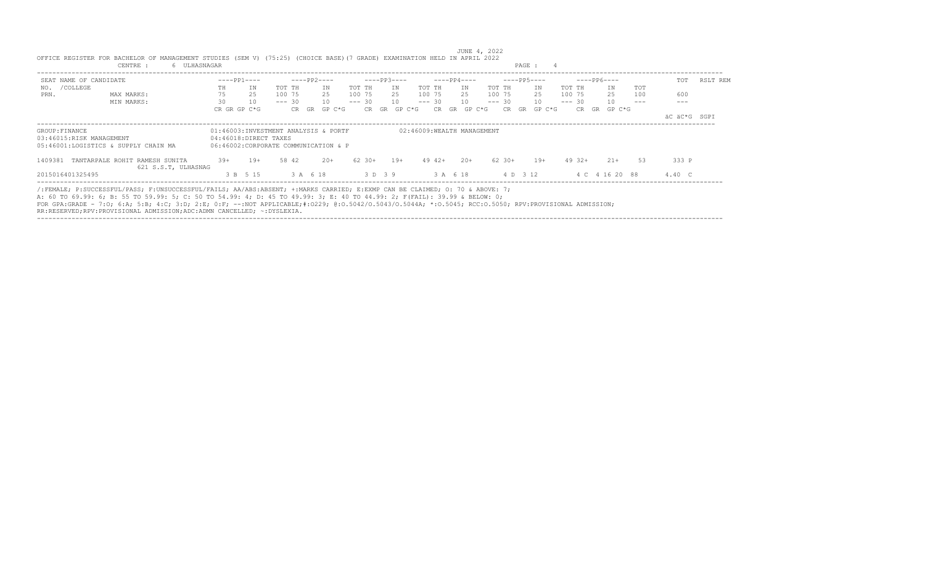|                                                                                    |                                |       |                                                                                                       |          |       |             |        |          |             |        |          |                            |          | raga :       |          |                |           |     |                |          |
|------------------------------------------------------------------------------------|--------------------------------|-------|-------------------------------------------------------------------------------------------------------|----------|-------|-------------|--------|----------|-------------|--------|----------|----------------------------|----------|--------------|----------|----------------|-----------|-----|----------------|----------|
| SEAT NAME OF CANDIDATE                                                             |                                |       | $---PP1---$                                                                                           |          |       | $---PP2---$ |        |          | $---PP3---$ |        |          | ----PP4----                |          | $---PP5---$  |          | $---PP6---$    |           |     | TOT            | RSLT REM |
| /COLLEGE<br>NO.                                                                    |                                | TH    | TN                                                                                                    | TOT TH   |       | TN          |        | TOT TH   | TN          | TOT TH |          | TN                         | TOT TH   | TN           | TOT TH   |                | TN        | TOT |                |          |
| PRN.                                                                               | MAX MARKS:                     | 75    | 25                                                                                                    | 100 75   |       | 2.5         |        | 100 75   | 25          |        | 100 75   | 2.5                        | 100 75   | 25           | 100 75   |                | 25        | 100 | 600            |          |
|                                                                                    | MIN MARKS:                     | 30    | 10                                                                                                    | $--- 30$ |       | 10          |        | $--- 30$ | 10          |        | $--- 30$ | 10                         | $--- 30$ | 1 O          | $--- 30$ |                | 10        |     | ---            |          |
|                                                                                    |                                |       | CR GR GP C*G                                                                                          |          | CR GR |             | GP C*G |          | CR GR       | GP C*G | CR.      | GP C*G<br>GR               | CR.      | GP C*G<br>GR | CR.      |                | GR GP C*G |     |                |          |
|                                                                                    |                                |       |                                                                                                       |          |       |             |        |          |             |        |          |                            |          |              |          |                |           |     | äC äC*G SGPI   |          |
| GROUP: FINANCE<br>03:46015:RISK MANAGEMENT<br>05:46001:LOGISTICS & SUPPLY CHAIN MA |                                |       | 01:46003:INVESTMENT ANALYSIS & PORTF<br>04:46018:DIRECT TAXES<br>06:46002:CORPORATE COMMUNICATION & P |          |       |             |        |          |             |        |          | 02:46009:WEALTH MANAGEMENT |          |              |          |                |           |     |                |          |
| 1409381                                                                            | TANTARPALE ROHIT RAMESH SUNITA | $39+$ | $19+$                                                                                                 | 58 42    |       | $20+$       |        | $62.30+$ | $19+$       |        | 49 42+   | $20+$                      | $62.30+$ | $19+$        | $49.32+$ |                | $21+$     | 53  | 333 P          |          |
| 2015016401325495                                                                   | 621 S.S.T. ULHASNAG            |       | 3 B 5 15                                                                                              |          |       | 3 A 6 18    |        |          | 3 D 3 9     |        |          | 3 A 6 18                   |          | 4 D 3 12     |          | 4 C 4 16 20 88 |           |     | $4.40 \quad C$ |          |

RR:RESERVED;RPV:PROVISIONAL ADMISSION;ADC:ADMN CANCELLED; ~:DYSLEXIA.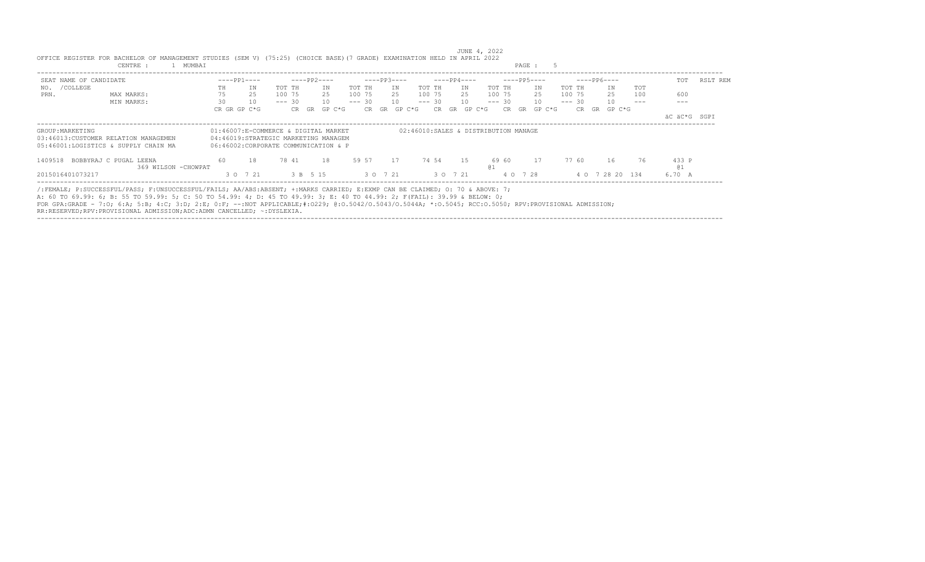| SEAT NAME OF CANDIDATE<br>/COLLEGE<br>NO.                                     |                      |                                                                              | $---PP1---$  |          | $---PP2---$ |        |          |       | $---PP3---$ |        |          |             |        |          |             |        |          |             |                 |     |              |          |
|-------------------------------------------------------------------------------|----------------------|------------------------------------------------------------------------------|--------------|----------|-------------|--------|----------|-------|-------------|--------|----------|-------------|--------|----------|-------------|--------|----------|-------------|-----------------|-----|--------------|----------|
|                                                                               |                      |                                                                              |              |          |             |        |          |       |             |        |          | ----PP4---- |        |          | $---PP5---$ |        |          | $---PP6---$ |                 |     | TOT          | RSLT REM |
|                                                                               |                      | TH                                                                           | IN           | TOT TH   |             | ΙN     | TOT TH   |       | T N         |        | TOT TH   | IN          |        | TOT TH   |             | TN     | TOT TH   |             | IN              | TOT |              |          |
| MAX MARKS:<br>PRN.                                                            |                      | 75                                                                           | 25           | 100 75   |             | 2.5    | 100 75   |       | 2.5         |        | 100 75   | 2.5         |        | 100 75   |             | 2.5    | 100 75   |             | 25              | 100 | 600          |          |
| MIN MARKS:                                                                    |                      | 30                                                                           | 10           | $--- 30$ |             | 10     | $--- 30$ |       | 10          |        | $--- 30$ | 10          |        | $--- 30$ |             | 10     | $--- 30$ |             | 10              |     |              |          |
|                                                                               |                      |                                                                              | CR GR GP C*G | CR.      | GR          | GP C*G |          | CR GR |             | GP C*G | CR.      | GR          | GP C*G | CR.      | GR          | GP C*G |          |             | CR GR GP C*G    |     |              |          |
|                                                                               |                      |                                                                              |              |          |             |        |          |       |             |        |          |             |        |          |             |        |          |             |                 |     | äC äC*G SGPI |          |
| 03:46013: CUSTOMER RELATION MANAGEMEN<br>05:46001:LOGISTICS & SUPPLY CHAIN MA |                      | 04:46019:STRATEGIC MARKETING MANAGEM<br>06:46002:CORPORATE COMMUNICATION & P |              |          |             |        |          |       |             |        |          |             |        |          |             |        |          |             |                 |     |              |          |
| 1409518 BOBBYRAJ C PUGAL LEENA                                                |                      | 60.                                                                          | 18           | 78 41    | 18          |        | 59 57    |       | 17          |        | 74 54    | 15          |        | 6960     |             | 17     | 77 60    |             | 16              | 76  | 433 P        |          |
|                                                                               | 369 WILSON - CHOWPAT |                                                                              |              |          |             |        |          |       |             |        |          |             |        | 01       |             |        |          |             |                 |     | 01           |          |
| 2015016401073217                                                              |                      |                                                                              | 3 0 7 21     |          | 3 B 5 15    |        |          |       | 3 0 7 2 1   |        |          | 3 0 7 21    |        |          | 4 0 7 28    |        |          |             | 4 0 7 28 20 134 |     | 6.70 A       |          |

RR:RESERVED;RPV:PROVISIONAL ADMISSION;ADC:ADMN CANCELLED; ~:DYSLEXIA.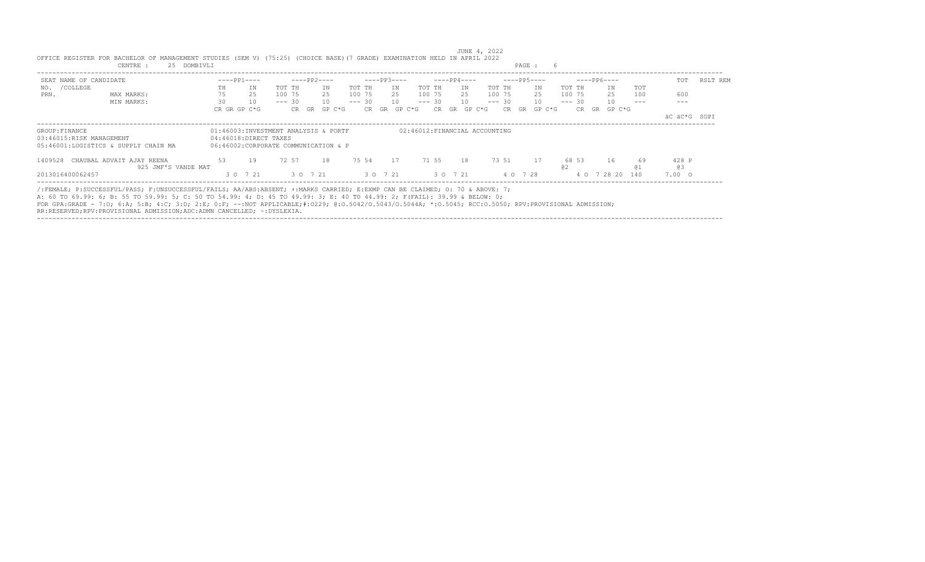|                                            | . سدد دست<br>പാനവാടുവാ                                                                                                                                                                                                                                                                                                                                                                                                                                                                      |     |                         |          |       |                                                                              |          |              |          |             |                               | .            |          |       |             |     |                    |          |
|--------------------------------------------|---------------------------------------------------------------------------------------------------------------------------------------------------------------------------------------------------------------------------------------------------------------------------------------------------------------------------------------------------------------------------------------------------------------------------------------------------------------------------------------------|-----|-------------------------|----------|-------|------------------------------------------------------------------------------|----------|--------------|----------|-------------|-------------------------------|--------------|----------|-------|-------------|-----|--------------------|----------|
| SEAT NAME OF CANDIDATE                     |                                                                                                                                                                                                                                                                                                                                                                                                                                                                                             |     | $---PP1---$             |          |       | $---PP2---$                                                                  |          | $---PP3---$  |          | $---PP4---$ |                               | $---PP5---$  |          |       | $---PP6---$ |     | TOT                | RSLT REM |
| /COLLEGE<br>NO.                            |                                                                                                                                                                                                                                                                                                                                                                                                                                                                                             | TH. | IN                      | TOT TH   |       | ΙN                                                                           | TOT TH   | IN           | TOT TH   | IN          | TOT TH                        | IN.          | TOT TH   |       | IN          | TOT |                    |          |
| PRN.                                       | MAX MARKS:                                                                                                                                                                                                                                                                                                                                                                                                                                                                                  | 75  | 25                      | 100 75   |       | 25                                                                           | 100 75   | 25           | 100 75   | 25          | 100 75                        | 25           | 100 75   |       | 25          | 100 | 600                |          |
|                                            | MIN MARKS:                                                                                                                                                                                                                                                                                                                                                                                                                                                                                  | 30  | 10                      | $--- 30$ |       | 10                                                                           | $--- 30$ | 10           | $--- 30$ | 10          | $--- 30$                      | 10           | $--- 30$ |       | 10          |     |                    |          |
|                                            |                                                                                                                                                                                                                                                                                                                                                                                                                                                                                             |     | CR GR GP C*G            |          | CR GR | GP C*G                                                                       |          | CR GR GP C*G | CR.      | GR          | GP C*G<br>CR.                 | GP C*G<br>GR |          | CR.   | GR GP C*G   |     |                    |          |
|                                            |                                                                                                                                                                                                                                                                                                                                                                                                                                                                                             |     |                         |          |       |                                                                              |          |              |          |             |                               |              |          |       |             |     | äC äC*G SGPI       |          |
| GROUP: FINANCE<br>03:46015:RISK MANAGEMENT | 05:46001:LOGISTICS & SUPPLY CHAIN MA                                                                                                                                                                                                                                                                                                                                                                                                                                                        |     | $04:46018:DTRECT$ TAXES |          |       | 01:46003:INVESTMENT ANALYSIS & PORTF<br>06:46002:CORPORATE COMMUNICATION & P |          |              |          |             | 02:46012:FINANCIAL ACCOUNTING |              |          |       |             |     |                    |          |
| 1409528                                    | CHAUBAL ADVAIT AJAY REENA<br>925 JMF'S VANDE MAT                                                                                                                                                                                                                                                                                                                                                                                                                                            | 53  | 19                      | 72 57    |       | 18                                                                           | 75 54    | 17           | 71 55    | 18          | 73 51                         | 17           | 02       | 68 53 | 16          | 69  | 428 P<br>eз        |          |
| 2013016400062457                           |                                                                                                                                                                                                                                                                                                                                                                                                                                                                                             |     | 3 0 7 21                |          |       | 3 0 7 21                                                                     |          | 3 0 7 2 1    |          | 3 0 7 21    |                               | 4 0 7 28     |          |       | 4 0 7 28 20 | 140 | $7.00 \quad \circ$ |          |
|                                            | /:FEMALE; P:SUCCESSFUL/PASS; F:UNSUCCESSFUL/FAILS; AA/ABS:ABSENT; +:MARKS CARRIED; E:EXMP CAN BE CLAIMED; 0: 70 & ABOVE: 7;<br>A: 60 TO 69.99: 6; B: 55 TO 59.99: 5; C: 50 TO 54.99: 4; D: 45 TO 49.99: 3; E: 40 TO 44.99: 2; F(FAIL): 39.99 & BELOW: 0;<br>FOR GPA:GRADE - 7:0; 6:A; 5:B; 4:C; 3:D; 2:E; 0:F; --:NOT APPLICABLE;#:0229; 0:0.5042/0.5043/0.5044A; *:0.5045; RCC:0.5050; RPV:PROVISIONAL ADMISSION;<br>RR:RESERVED;RPV:PROVISIONAL ADMISSION;ADC:ADMN CANCELLED; ~:DYSLEXIA. |     |                         |          |       |                                                                              |          |              |          |             |                               |              |          |       |             |     |                    |          |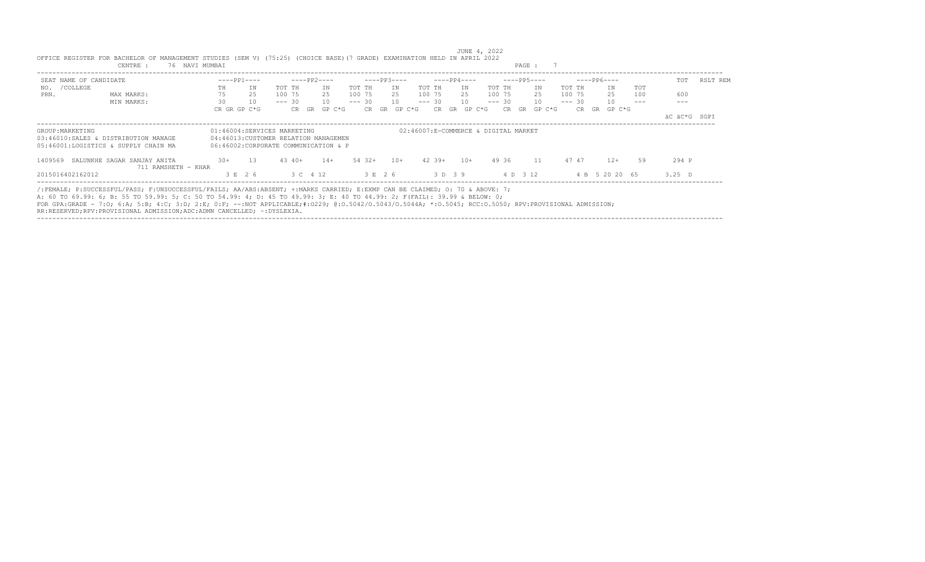|                        | . ىىدىسى                                                                                                                                                                                                                                                                                                                                                                                                                                                                                 | $19.233 \pm 19.11$                                                                                           |    |          |             |          |          |         |             |          |             |        |                                      |          |             |          |       |             |                 |     |              |          |
|------------------------|------------------------------------------------------------------------------------------------------------------------------------------------------------------------------------------------------------------------------------------------------------------------------------------------------------------------------------------------------------------------------------------------------------------------------------------------------------------------------------------|--------------------------------------------------------------------------------------------------------------|----|----------|-------------|----------|----------|---------|-------------|----------|-------------|--------|--------------------------------------|----------|-------------|----------|-------|-------------|-----------------|-----|--------------|----------|
| SEAT NAME OF CANDIDATE |                                                                                                                                                                                                                                                                                                                                                                                                                                                                                          | $---PP1---$                                                                                                  |    |          | ----PP2---- |          |          |         | $---PP3---$ |          | ----PP4---- |        |                                      |          | $---PP5---$ |          |       | $---PP6---$ |                 |     | TOT          | RSLT REM |
| /COLLEGE<br>NO.        |                                                                                                                                                                                                                                                                                                                                                                                                                                                                                          | TH                                                                                                           | ΙN | TOT TH   |             | ΙN       | TOT TH   |         | IN          | TOT TH   |             | IN     | TOT TH                               |          | IN          | TOT TH   |       |             | IN              | TOT |              |          |
| PRN.                   | MAX MARKS:                                                                                                                                                                                                                                                                                                                                                                                                                                                                               | 75                                                                                                           | 25 | 100 75   |             | 2.5      | 100 75   |         | 25          | 100 75   |             | 2.5    | 100 75                               |          | 25          | 100 75   |       |             | 25              | 100 | 600          |          |
|                        | MIN MARKS:                                                                                                                                                                                                                                                                                                                                                                                                                                                                               | 30                                                                                                           | 10 | $--- 30$ |             | 10       | $--- 30$ |         | 10          | $--- 30$ |             | 10     | $--- 30$                             |          | 10          | $--- 30$ |       |             | 10              |     |              |          |
|                        |                                                                                                                                                                                                                                                                                                                                                                                                                                                                                          | CR GR GP C*G                                                                                                 |    |          | CR GR       | $GP C*G$ |          | CR GR   | GP C*G      | CR.      | GR          | GP C*G | CR.                                  | GR       | GP C*G      |          | CR.   |             | $GR$ $GP$ $C*G$ |     |              |          |
|                        |                                                                                                                                                                                                                                                                                                                                                                                                                                                                                          |                                                                                                              |    |          |             |          |          |         |             |          |             |        |                                      |          |             |          |       |             |                 |     | äC äC*G SGPI |          |
| GROUP: MARKETING       | 03:46010:SALES & DISTRIBUTION MANAGE<br>05:46001:LOGISTICS & SUPPLY CHAIN MA                                                                                                                                                                                                                                                                                                                                                                                                             | 01:46004:SERVICES MARKETING<br>04:46013: CUSTOMER RELATION MANAGEMEN<br>06:46002:CORPORATE COMMUNICATION & P |    |          |             |          |          |         |             |          |             |        | 02:46007:E-COMMERCE & DIGITAL MARKET |          |             |          |       |             |                 |     |              |          |
| 1409569                | SALUNKHE SAGAR SANJAY ANITA<br>711 RAMSHETH - KHAR                                                                                                                                                                                                                                                                                                                                                                                                                                       | $30+$                                                                                                        | 13 | $43.40+$ |             | $14+$    | 54 32+   |         | $10+$       | $42.39+$ |             | $10+$  | 49 36                                |          | 11          |          | 47 47 |             | $12+$           | 59  | 294 P        |          |
| 2015016402162012       |                                                                                                                                                                                                                                                                                                                                                                                                                                                                                          | 3 E 26                                                                                                       |    |          | 3 C 4 12    |          |          | 3 E 2 6 |             |          | 3D39        |        |                                      | 4 D 3 12 |             |          |       |             | 4 B 5 20 20 65  |     | $3.25$ D     |          |
|                        | /:FEMALE; P:SUCCESSFUL/PASS; F:UNSUCCESSFUL/FAILS; AA/ABS:ABSENT; +:MARKS CARRIED; E:EXMP CAN BE CLAIMED; 0: 70 & ABOVE: 7;<br>A: 60 TO 69.99: 6; B: 55 TO 59.99: 5; C: 50 TO 54.99: 4; D: 45 TO 49.99: 3; E: 40 TO 44.99: 2; F(FAIL): 39.99 & BELOW: 0;<br>FOR GPA:GRADE - 7:0; 6:A; 5:B; 4:C; 3:D; 2:E; 0:F; --:NOT APPLICABLE;#:0229; 0:0.5042/0.5043/0.5044A; *:0.5045; RCC:0.5050; RPV:PROVISIONAL ADMISSION;<br>LOR BEGERMENT DRIL DOMIT GENERAL ADDITION AND CAMARITED. LOVALDVER |                                                                                                              |    |          |             |          |          |         |             |          |             |        |                                      |          |             |          |       |             |                 |     |              |          |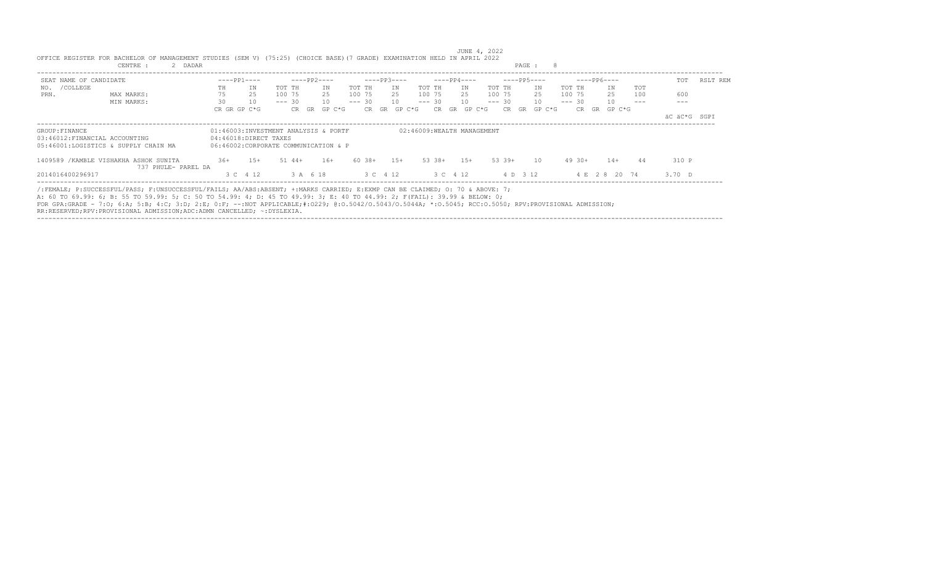|                        | ULINIALI I<br><i>DADAN</i>                                                                                                                                                                                                                                                                                                                                                                                         |                         |                                                                              |                               |                            | raga .              |                         |                 |
|------------------------|--------------------------------------------------------------------------------------------------------------------------------------------------------------------------------------------------------------------------------------------------------------------------------------------------------------------------------------------------------------------------------------------------------------------|-------------------------|------------------------------------------------------------------------------|-------------------------------|----------------------------|---------------------|-------------------------|-----------------|
| SEAT NAME OF CANDIDATE |                                                                                                                                                                                                                                                                                                                                                                                                                    | $---PP1---$             | $---PP2---$                                                                  | $---PP3---$                   | ----PP4----                | $---PP5---$         | $---PP6---$             | RSLT REM<br>TOT |
| /COLLEGE<br>NO.        |                                                                                                                                                                                                                                                                                                                                                                                                                    | IN<br>TH                | TOT TH<br>ΙN                                                                 | TOT TH<br>IN                  | TOT TH<br>IN               | TOT TH<br>IN        | TOT<br>TOT TH<br>IN     |                 |
| PRN.                   | MAX MARKS:                                                                                                                                                                                                                                                                                                                                                                                                         | 25<br>75                | 2.5<br>100 75                                                                | 100 75<br>2.5                 | 100 75<br>2.5              | 100 75<br>2.5       | 25<br>100<br>100 75     | 600             |
|                        | MIN MARKS:                                                                                                                                                                                                                                                                                                                                                                                                         | 30<br>10                | 10<br>$--- 30$                                                               | $--- 30$<br>10                | $--- 30$<br>10             | 10<br>$--- 30$      | 10<br>$--- 30$<br>---   | $---$           |
|                        |                                                                                                                                                                                                                                                                                                                                                                                                                    | CR GR GP C*G            | CR.<br>GR                                                                    | GP C*G<br>GR<br>GP C*G<br>CR. | GR<br>GP C*G<br>CR.        | GP C*G<br>CR.<br>GR | GP C*G<br>CR.<br>GR     |                 |
|                        |                                                                                                                                                                                                                                                                                                                                                                                                                    |                         |                                                                              |                               |                            |                     |                         | äC äC*G SGPI    |
| GROUP: FINANCE         | 03:46012:FINANCIAL ACCOUNTING<br>05:46001:LOGISTICS & SUPPLY CHAIN MA                                                                                                                                                                                                                                                                                                                                              | $04:46018:DTRECT$ TAXES | 01:46003:INVESTMENT ANALYSIS & PORTF<br>06:46002:CORPORATE COMMUNICATION & P |                               | 02:46009:WEALTH MANAGEMENT |                     |                         |                 |
|                        | 1409589 / KAMBLE VISHAKHA ASHOK SUNITA<br>737 PHULE- PAREL DA                                                                                                                                                                                                                                                                                                                                                      | $1.5+$<br>$36+$         | $51 44+$<br>$16+$                                                            | 60 38+<br>$1.5+$              | 53 38+<br>$15+$            | $53.39+$<br>10      | $49.30+$<br>$14+$<br>44 | 310 P           |
| 2014016400296917       |                                                                                                                                                                                                                                                                                                                                                                                                                    | 3 C 4 12                | 3 A 6 18                                                                     | 3 C 4 12                      | 3 C 4 12                   | 4 D 3 12            | 4 E 2 8 20 74           | $3.70\quad D$   |
|                        | /:FEMALE; P:SUCCESSFUL/PASS; F:UNSUCCESSFUL/FAILS; AA/ABS:ABSENT; +:MARKS CARRIED; E:EXMP CAN BE CLAIMED; O: 70 & ABOVE: 7;<br>A: 60 TO 69.99: 6; B: 55 TO 59.99: 5; C: 50 TO 54.99: 4; D: 45 TO 49.99: 3; E: 40 TO 44.99: 2; F(FAIL): 39.99 & BELOW: 0;<br>FOR GPA:GRADE - 7:0; 6:A; 5:B; 4:C; 3:D; 2:E; 0:F; --:NOT APPLICABLE;#:0229; 0:0.5042/0.5043/0.5044A; *:0.5045; RCC:0.5050; RPV:PROVISIONAL ADMISSION; |                         |                                                                              |                               |                            |                     |                         |                 |

RR:RESERVED;RPV:PROVISIONAL ADMISSION;ADC:ADMN CANCELLED; ~:DYSLEXIA.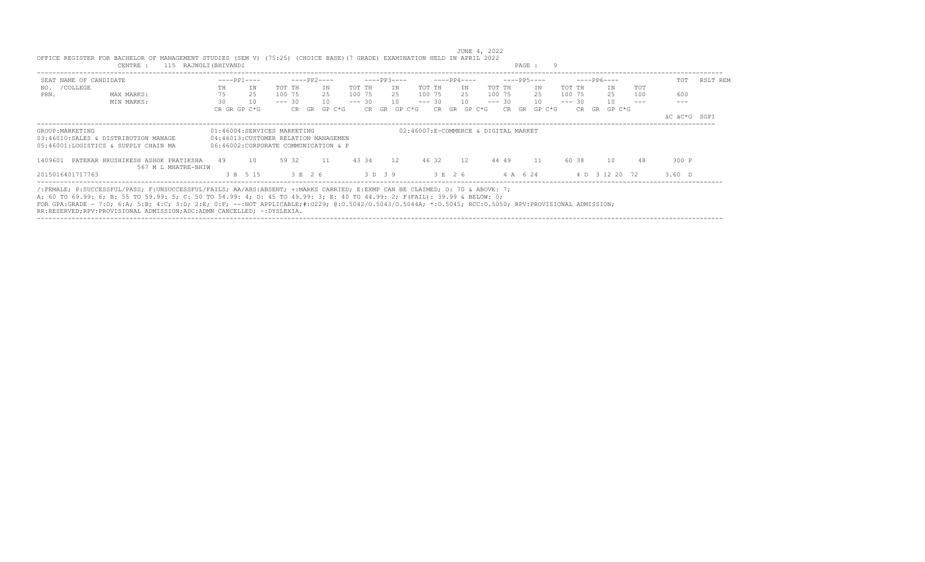|                  | SEAT NAME OF CANDIDATE                                                       |    | $---PP1---$                                                                                                  |          | $---PP2---$ |        |          |         | $---PP3---$ |        |          | $---PP4---$                          |          |    | $---PP5---$  |          |          | $---PP6---$    |     | TOT          | RSLT REM |
|------------------|------------------------------------------------------------------------------|----|--------------------------------------------------------------------------------------------------------------|----------|-------------|--------|----------|---------|-------------|--------|----------|--------------------------------------|----------|----|--------------|----------|----------|----------------|-----|--------------|----------|
| NO. / COLLEGE    |                                                                              | TH | IN                                                                                                           | TOT TH   |             | TN     | TOT TH   |         | TN          | TOT TH |          | TN                                   | TOT TH   |    | TN           | TOT TH   |          | TN             | TOT |              |          |
| PRN.             | MAX MARKS:                                                                   | 75 | 25                                                                                                           | 100 75   |             | 25     | 100 75   |         | 25          |        | 100 75   | 25                                   | 100 75   |    | 25           | 100 75   |          | 25             | 100 | 600          |          |
|                  | MIN MARKS:                                                                   | 30 | 10                                                                                                           | $--- 30$ |             | 10     | $--- 30$ |         | 10          |        | $--- 30$ | 10                                   | $--- 30$ |    | 10           | $--- 30$ |          | 10             |     |              |          |
|                  |                                                                              |    | CR GR GP C*G                                                                                                 |          | CR GR       | GP C*G |          | CR GR   | GP C*G      |        | CR.      | GR                                   | GP C*G   | CR | GP C*G<br>GR |          | CR<br>GR | GP C*G         |     |              |          |
|                  |                                                                              |    |                                                                                                              |          |             |        |          |         |             |        |          |                                      |          |    |              |          |          |                |     | äC äC*G SGPI |          |
| GROUP: MARKETING | 03:46010:SALES & DISTRIBUTION MANAGE<br>05:46001:LOGISTICS & SUPPLY CHAIN MA |    | 01:46004:SERVICES MARKETING<br>04:46013: CUSTOMER RELATION MANAGEMEN<br>06:46002:CORPORATE COMMUNICATION & P |          |             |        |          |         |             |        |          | 02:46007:E-COMMERCE & DIGITAL MARKET |          |    |              |          |          |                |     |              |          |
| 1409601          | PATEKAR HRUSHIKESH ASHOK PRATIKSHA<br>567 M L MHATRE-BHIW                    | 49 | 10                                                                                                           | 59 32    |             | 11     | 43 34    |         | 12          |        | 46 32    | 12                                   | 44 49    |    | 11           | 60 38    |          | 10             | 48  | 300 P        |          |
| 2015016401717763 |                                                                              |    | 3 B 5 15                                                                                                     |          | 3 E 2 6     |        |          | 3 D 3 9 |             |        |          | 3 E 2 6                              |          |    | 4 A 6 24     |          |          | 4 D 3 12 20 72 |     | $3.60$ D     |          |